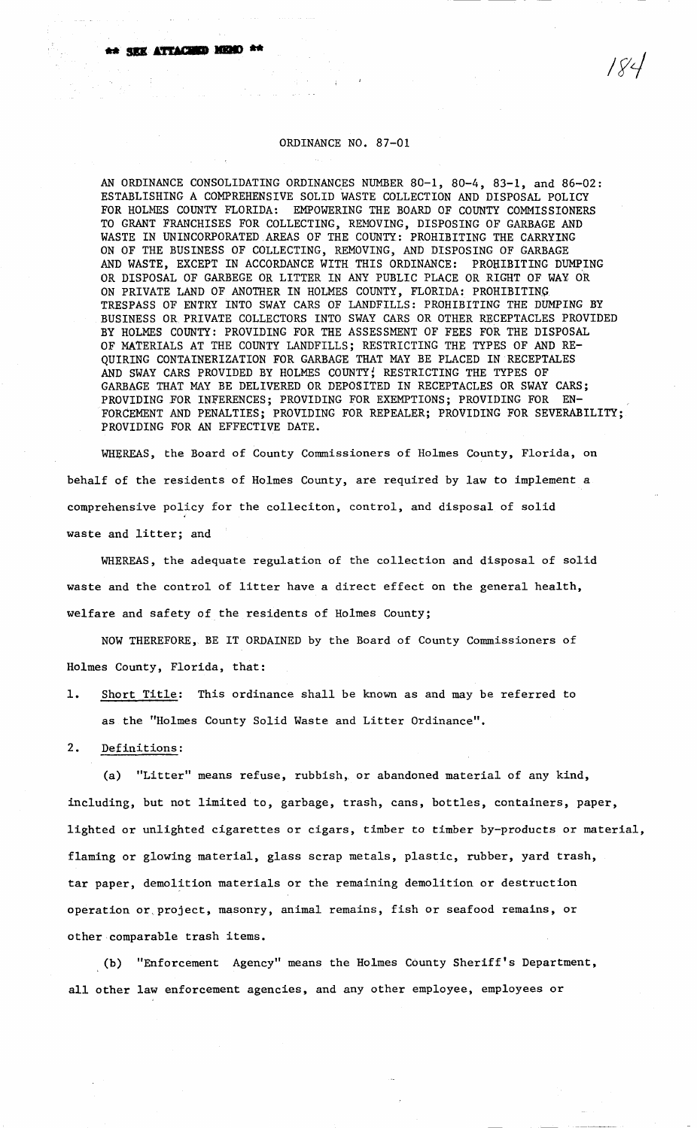## ORDINANCE NO. 87-01

AN ORDINANCE CONSOLIDATING ORDINANCES NUMBER 80-1, 80-4, 83-1, and 86-02: ESTABLISHING A COMPREHENSIVE SOLID WASTE COLLECTION AND DISPOSAL POLICY FOR HOLMES COUNTY FLORIDA: EMPOWERING THE BOARD OF COUNTY COMMISSIONERS TO GRANT FRANCHISES FOR COLLECTING, REMOVING, DISPOSING OF GARBAGE AND WASTE IN UNINCORPORATED AREAS OF THE COUNTY: PROHIBITING THE CARRYING ON OF THE BUSINESS OF COLLECTING, REMOVING, AND DISPOSING OF GARBAGE AND WASTE, EXCEPT IN ACCORDANCE WITH THIS ORDINANCE: PROHIBITING DUMPING OR DISPOSAL OF GARBEGE OR LITTER IN ANY PUBLIC PLACE OR RIGHT OF WAY OR ON PRIVATE LAND OF ANOTHER IN HOLMES COUNTY, FLORIDA: PROHIBITING TRESPASS OF ENTRY INTO SWAY CARS OF LANDFILLS: PROHIBITING THE DUMPING BY BUSINESS OR PRIVATE COLLECTORS INTO SWAY CARS OR OTHER RECEPTACLES PROVIDED BY HOLMES COUNTY: PROVIDING FOR THE ASSESSMENT OF FEES FOR THE DISPOSAL OF MATERIALS AT THE COUNTY LANDFILLS; RESTRICTING THE TYPES OF AND RE-QUIRING CONTAINERIZATION FOR GARBAGE THAT MAY BE PLACED IN RECEPTALES AND SWAY CARS PROVIDED BY HOLMES COUNTY; RESTRICTING THE TYPES OF GARBAGE THAT MAY BE DELIVERED OR DEPOSITED IN RECEPTACLES OR SWAY CARS;<br>PROVIDING FOR INFERENCES: PROVIDING FOR EXEMPTIONS: PROVIDING FOR EN-PROVIDING FOR INFERENCES; PROVIDING FOR EXEMPTIONS; PROVIDING FOR FORCEMENT AND PENALTIES; PROVIDING FOR REPEALER; PROVIDING FOR SEVERABILITY; PROVIDING FOR AN EFFECTIVE DATE.

WHEREAS, the Board of County Commissioners of Holmes County, Florida, on behalf of the residents of Holmes County, are required by law to implement a comprehensive policy for the colleciton, control, and disposal of solid waste and litter; and

WHEREAS, the adequate regulation of the collection and disposal of solid waste and the control of litter have a direct effect on the general health, welfare and safety of the residents of Holmes County;

NOW THEREFORE, BE IT ORDAINED by the Board of County Commissioners of Holmes County, Florida, that:

1. Short Title: This ordinance shall be known as and may be referred to as the "Holmes County Solid Waste and Litter Ordinance".

2. Definitions:

(a) "Litter" means refuse, rubbish, or abandoned material of any kind, including, but not limited to, garbage, trash, cans, bottles, containers, paper, lighted or unlighted cigarettes or cigars, timber to timber by-products or material, flaming or glowing material, glass scrap metals, plastic, rubber, yard trash, tar paper, demolition materials or the remaining demolition or destruction operation or project, masonry, animal remains, fish or seafood remains, or other comparable trash items.

(b) "Enforcement Agency" means the Holmes County Sheriff's Department, all other law enforcement agencies, and any other employee, employees or

1 V 4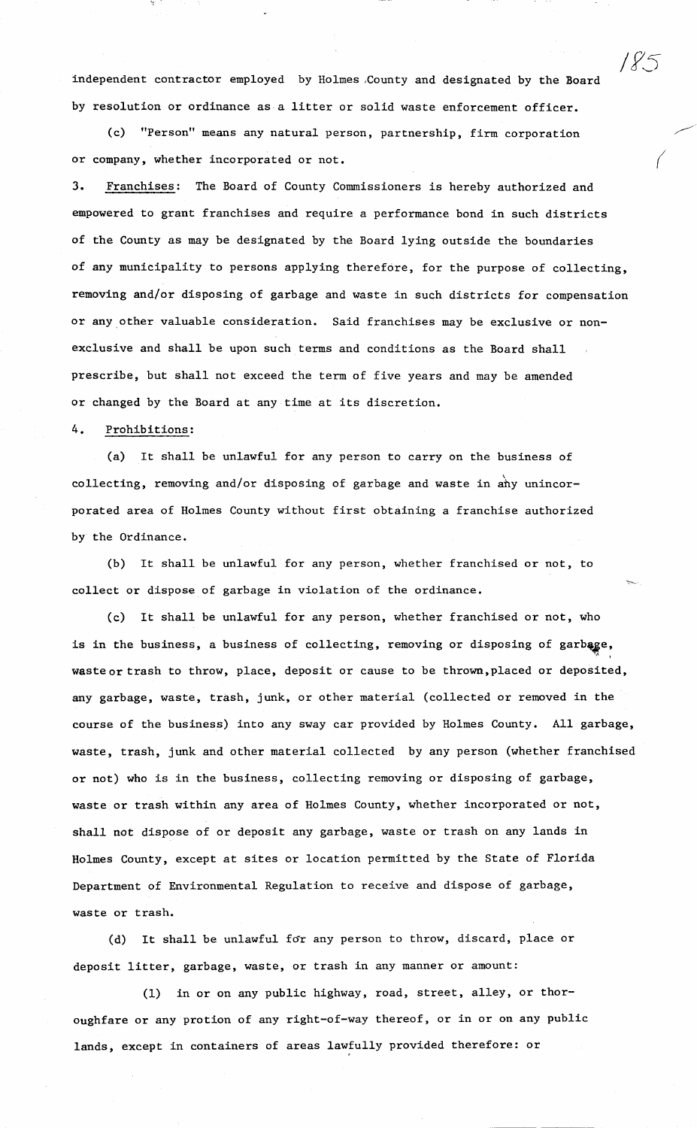independent contractor employed by Holmes ,County and designated by the Board by resolution or ordinance as a litter or solid waste enforcement officer.

!F5

(c) "Person" means any natural person, partnership, firm corporation or company, whether incorporated or not.

3. Franchises: The Board of County Commissioners is hereby authorized and empowered to grant franchises and require a performance bond in such districts of the County as may be designated by the Board lying outside the boundaries of any municipality to persons applying therefore, for the purpose of collecting, removing and/or disposing of garbage and waste in such districts for compensation or any,other valuable consideration. Said franchises may be exclusive or nonexclusive and shall be upon such terms and conditions as the Board shall prescribe, but shall not exceed the term of five years and may be amended or changed by the Board at any time at its discretion.

## 4. Prohibitions:

(a) It shall be unlawful for any person to carry on the business of collecting, removing and/or disposing of garbage and waste in any unincorporated area of Holmes County without first obtaining a franchise authorized by the Ordinance.

(b) It shall be unlawful for any person, whether franchised or not, to collect or dispose of garbage in violation of the ordinance.

(c) It shall be unlawful for any person, whether franchised or not, who is in the business, a business of collecting, removing or disposing of garbage,  $"$  ' waste or trash to throw, place, deposit or cause to be thrown, placed or deposited, any garbage, waste, trash, junk, or other material (collected or removed in the course of the business) into any sway car provided by Holmes County. All garbage, waste, trash, junk and other material collected by any person (whether franchised or not) who is in the business, collecting removing or disposing of garbage, waste or trash within any area of Holmes County, whether incorporated or not, shall not dispose of or deposit any garbage, waste or trash on any lands in Holmes County, except at sites or location permitted by the State of Florida Department of Environmental Regulation to receive and dispose of garbage, waste or trash.

(d) It shall be unlawful for any person to throw, discard, place or deposit litter, garbage, waste, or trash in any manner or amount:

(1) in or on any public highway, road, street, alley, or thoroughfare or any protion of any right-of-way thereof, or in or on any public lands, except in containers of areas lawfully provided therefore: or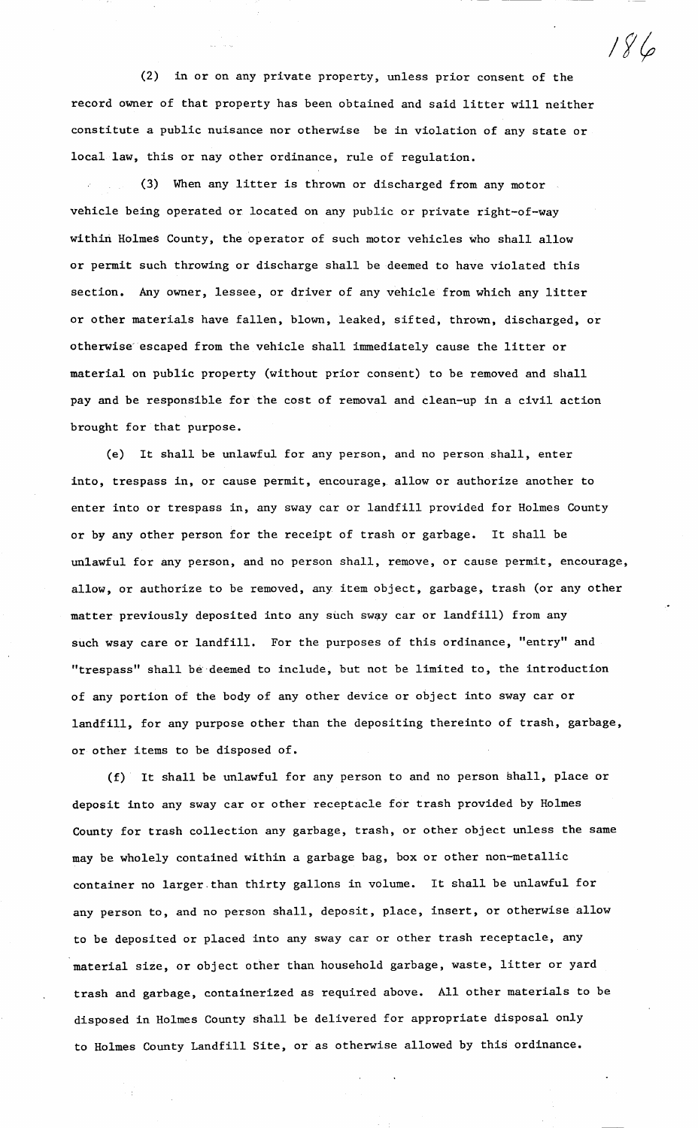(2) in or on any private property, unless prior consent of the record owner of that property has been obtained and said litter will neither constitute a public nuisance nor otherwise be in violation of any state or local law, this or nay other ordinance, rule of regulation.

 $186$ 

(3) When any litter is thrown or discharged from any motor vehicle being operated or located on any public or private right-of-way within Holmes County, the operator of such motor vehicles who shall allow or permit such throwing or discharge shall be deemed to have violated this section. Any owner, lessee, or driver of any vehicle from which any litter or other materials have fallen, blown, leaked, sifted, thrown, discharged, or otherwise escaped from the vehicle shall immediately cause the litter or material on public property (without prior consent) to be removed and shall pay and be responsible for the cost of removal and clean-up in a civil action brought for that purpose.

(e) It shall be unlawful for any person, and no person shall, enter into, trespass in, or cause permit, encourage, allow or authorize another to enter into or trespass in, any sway car or landfill provided for Holmes County or by any other person for the receipt of trash or garbage. It shall be unlawful for any person, and no person shall, remove, or cause permit, encourage, allow, or authorize to be removed, any item object, garbage, trash (or any other matter previously deposited into any such sway car or landfill) from any such wsay care or landfill. For the purposes of this ordinance, "entry" and "trespass" shall be·deemed to include, but not be limited to, the introduction of any portion of the body of any other device or object into sway car or landfill, for any purpose other than the depositing thereinto of trash, garbage, or other items to be disposed of.

(f) It shall be unlawful for any person to and no person shall, place or deposit into any sway car or other receptacle for trash provided by Holmes County for trash collection any garbage, trash, or other object unless the same may be wholely contained within a garbage bag, box or other non-metallic container no larger.than thirty gallons in volume. It shall be unlawful for any person to, and no person shall, deposit, place, insert, or otherwise allow to be deposited or placed into any sway car or other trash receptacle, any material size, or object other than household garbage, waste, litter or yard trash and garbage, containerized as required above. All other materials to be disposed in Holmes County shall be delivered for appropriate disposal only to Holmes County Landfill Site, or as otherwise allowed by this ordinance.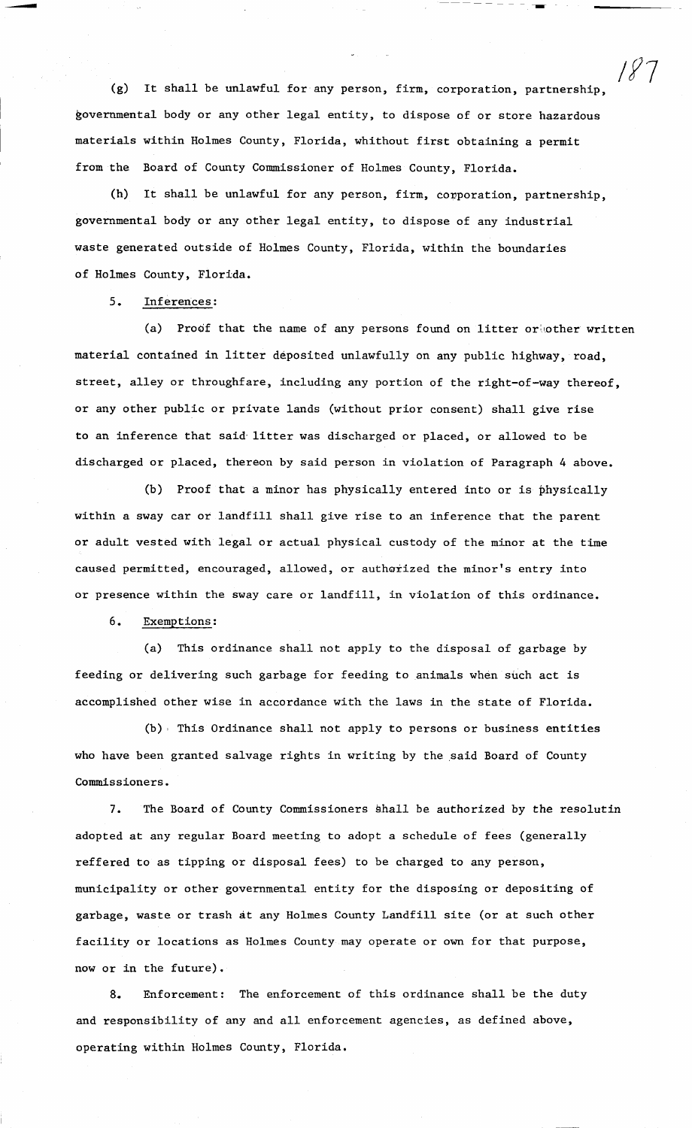(g) It shall be unlawful for any person, firm, corporation, partnership, governmental body or any other legal entity, to dispose of or store hazardous materials within Holmes County, Florida, whithout first obtaining a permit from the Board of County Commissioner of Holmes County, Florida.

/f7

-- ---

(h) It shall be unlawful for any person, firm, corporation, partnership, governmental body or any other legal entity, to dispose of any industrial waste generated outside of Holmes County, Florida, within the boundaries of Holmes County, Florida.

5. Inferences:

(a) Proof that the name of any persons found on litter or  $other$  written material contained in litter deposited unlawfully on any public highway, road, street, alley or throughfare, including any portion of the right-of-way thereof, or any other public or private lands (without prior consent) shall give rise to an inference that said litter was discharged or placed, or allowed to be discharged or placed, thereon by said person in violation of Paragraph 4 above.

(b) Proof that a minor has physically entered into or is physically within a sway car or landfill shall give rise to an inference that the parent or adult vested with legal or actual physical custody of the minor at the time caused permitted, encouraged, allowed, or authorized the minor's entry into or presence within the sway care or landfill, in violation of this ordinance.

6. Exemptions:

(a) This ordinance shall not apply to the disposal of garbage by feeding or delivering such garbage for feeding to animals when such act is accomplished other wise in accordance with the laws in the state of Florida.

(b) , This Ordinance shall not apply to persons or business entities who have been granted salvage rights in writing by the said Board of County Commissioners.

7. The Board of County Commissioners shall be authorized by the resolutin adopted at any regular Board meeting to adopt a schedule of fees (generally reffered to as tipping or disposal fees) to be charged to any person, municipality or other governmental entity for the disposing or depositing of garbage, waste or trash at any Holmes County Landfill site (or at such other facility or locations as Holmes County may operate or own for that purpose, now or in the future).

8. Enforcement: The enforcement of this ordinance shall be the duty and responsibility of any and all enforcement agencies, as defined above, operating within Holmes County, Florida.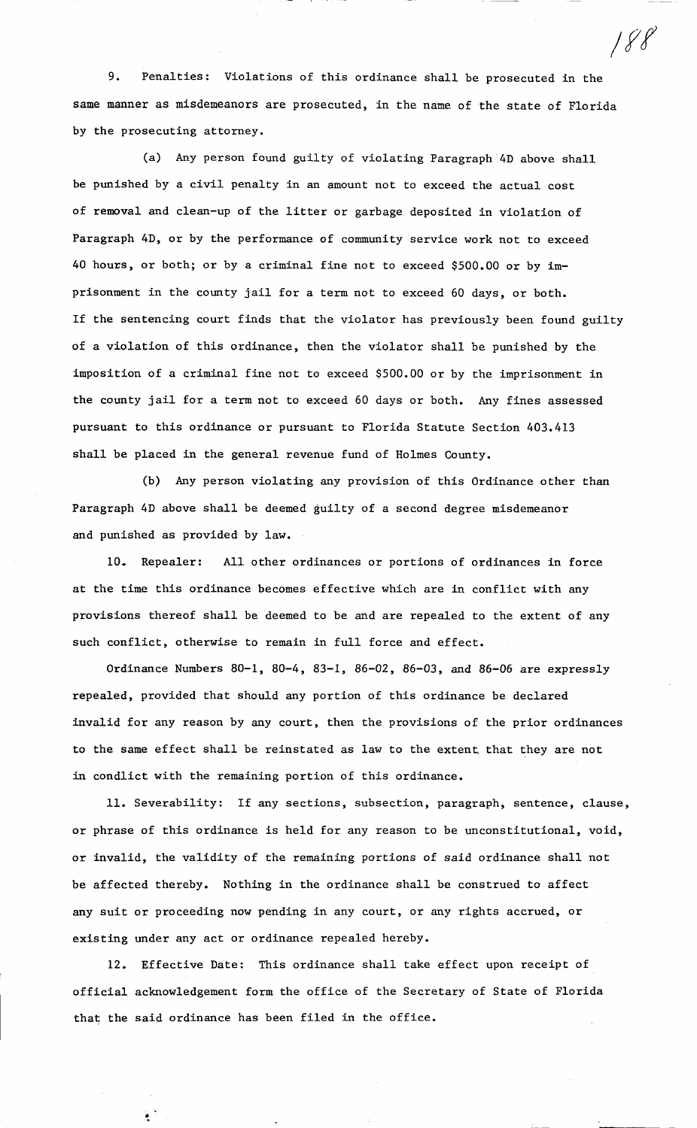9. Penalties: Violations of this ordinance shall be prosecuted in the same manner as misdemeanors are prosecuted, in the name of the state of Florida by the prosecuting attorney.

*;fl* 

(a) Any person found guilty of violating Paragraph 4D above shall be punished by a civil penalty in an amount not to exceed the actual cost of removal and clean-up of the litter or garbage deposited in violation of Paragraph 4D, or by the performance of community service work not to exceed 40 hours, or both; or by a criminal fine not to exceed \$500.00 or by imprisonment in the county jail for a term not to exceed 60 days, or both. If the sentencing court finds that the violator has previously been found guilty of a violation of this ordinance, then the violator shall be punished by the imposition of a criminal fine not to exceed \$500.00 or by the imprisonment in the county jail for a term not to exceed 60 days or both. Any fines assessed pursuant to this ordinance or pursuant to Florida Statute Section 403.413 shall be placed in the general revenue fund of Holmes County.

(b) Any person violating any provision of this Ordinance other than Paragraph 4D above shall be deemed guilty of a second degree misdemeanor and punished as provided by law.

10. Repealer: All other ordinances or portions of ordinances in force at the time this ordinance becomes effective which are in conflict with any provisions thereof shall be deemed to be and are repealed to the extent of any such conflict, otherwise to remain in full force and effect.

Ordinance Numbers 80-1, 80-4, 83-1, 86-02, 86-03, and 86-06 are expressly repealed, provided that should any portion of this ordinance be declared invalid for any reason by any court, then the provisions of the prior ordinances to the same effect shall be reinstated as law to the extent that they are not in condlict with the remaining portion of this ordinance.

11. Severability: If any sections, subsection, paragraph, sentence, clause, or phrase of this ordinance is held for any reason to be unconstitutional, void, or invalid, the validity of the remaining portions of said ordinance shall not be affected thereby. Nothing in the ordinance shall be construed to affect any suit or proceeding now pending in any court, or any rights accrued, or existing under any act or ordinance repealed hereby.

12. Effective Date: This ordinance shall take effect upon receipt of official acknowledgement form the office of the Secretary of State of Florida that the said ordinance has been filed in the office.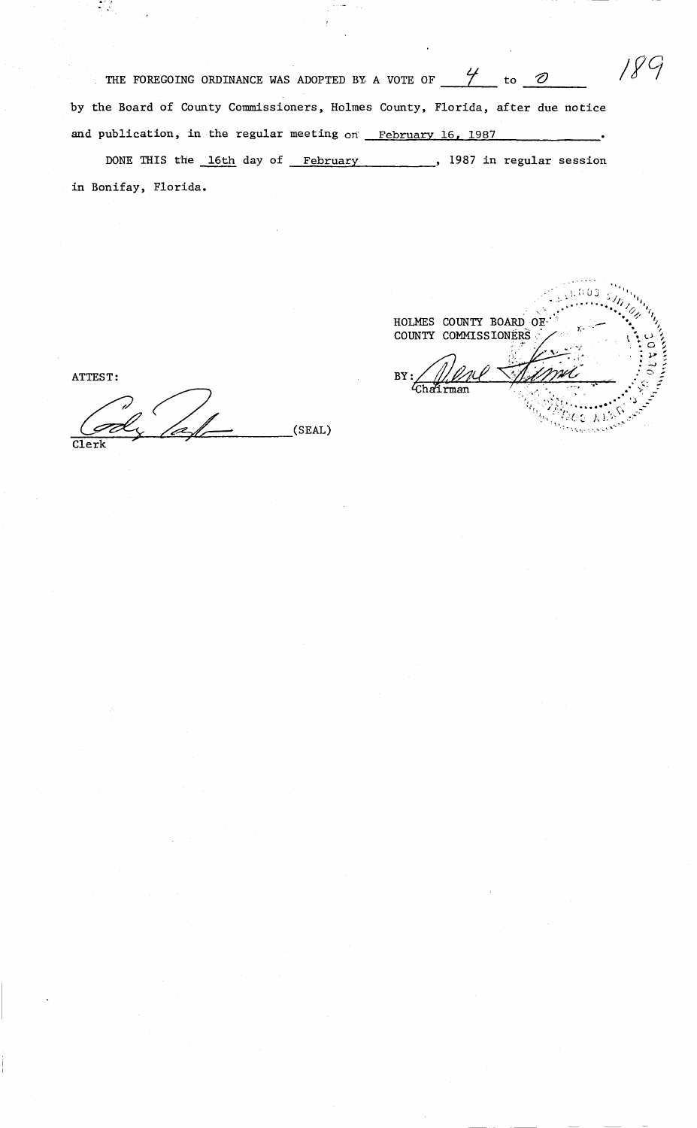| THE FOREGOING ORDINANCE WAS ADOPTED BY A VOTE OF<br>to                         |  |
|--------------------------------------------------------------------------------|--|
| by the Board of County Commissioners, Holmes County, Florida, after due notice |  |
| and publication, in the regular meeting on February 16, 1987                   |  |
| DONE THIS the 16th day of February<br>, 1987 in regular session                |  |

u.

 $\cdot$ 

in Bonifay, Florida.

 $\mathcal{L}(\mathcal{L})$ 

ATTEST:

BY: ~/? ~- (SEAL)  $\frac{cd_{y}}{c_{l}^{l}}$  (SEAL)

 $\sqrt{600}$ i s HOLMES COUNTY BOARD OF COUNTY COMMISSIONERS .<br>vit ://///////<br>Chairman  $E_{CC}$   $\lambda$  is  $\alpha$ ne talu<br><sup>193</sup>3 yıl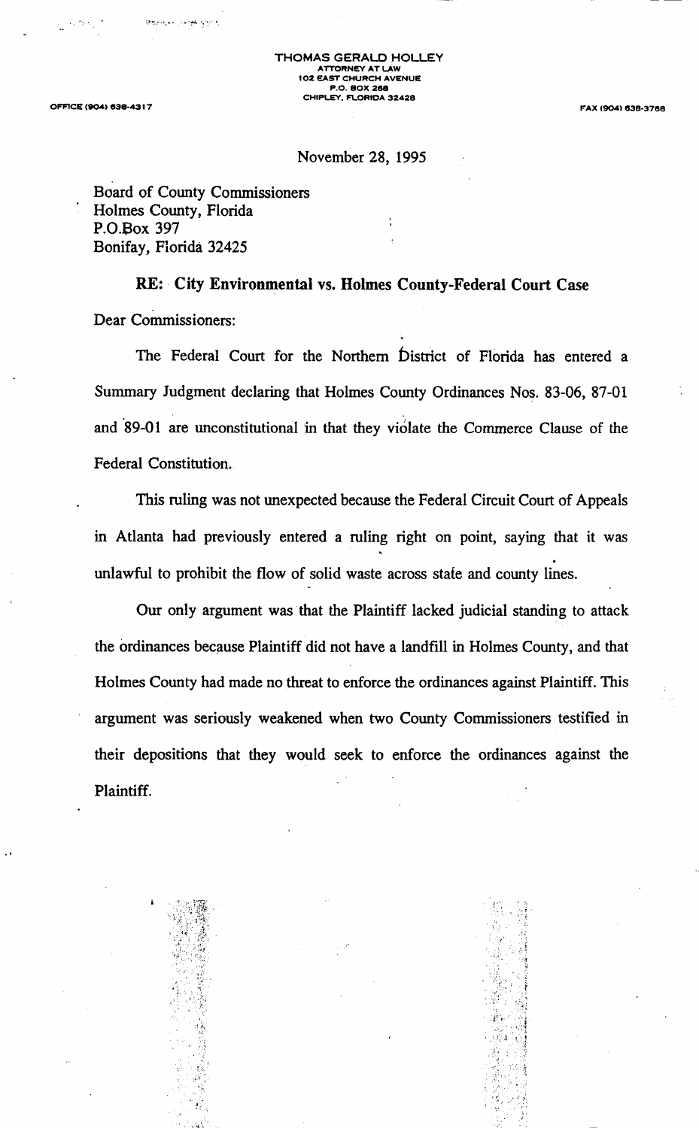THOMAS GERALD HOLLEY ATTORNEY AT LAW 102 EAST CHURCH AVENUE P.O. BOX 268 CHIPLEY, FLORIDA 32428

OFFICE (904) 938·43 I 7

FAX (904) 638·3768

## November 28, 1995

Board of County Commissioners Holmes County, Florida P.0.Box 397 Bonifay, Florida 32425

 $\cdot$  ,  $\cdot$   $\cdot$   $\cdot$   $\cdot$   $\cdot$   $\cdot$   $\cdot$ 

: •. •. ، بالمجالات العالم المناوية

RE: City Environmental vs. Holmes County-Federal Court Case Dear Commissioners:

The Federal Court for the Northern District of Florida has entered a Summary Judgment declaring that Holmes County Ordinances Nos. 83-06, 87-01 and 89-01 are unconstitutional in that they violate the Commerce Clause of the Federal Constitution.

This ruling was not unexpected because the Federal Circuit Court of Appeals in Atlanta had previously entered a ruling right on point, saying that it was . unlawful to prohibit the flow of solid waste across state and county lines.

Our only argument was that the Plaintiff lacked judicial standing to attack the ordinances because Plaintiff did not have a landfill in Holmes County, and that Holmes County had made no threat to enforce the ordinances against Plaintiff. This argument was seriously weakened when two County Commissioners testified in their depositions that they would seek to enforce the ordinances against the Plaintiff.



.<br>1. :

<.· ...